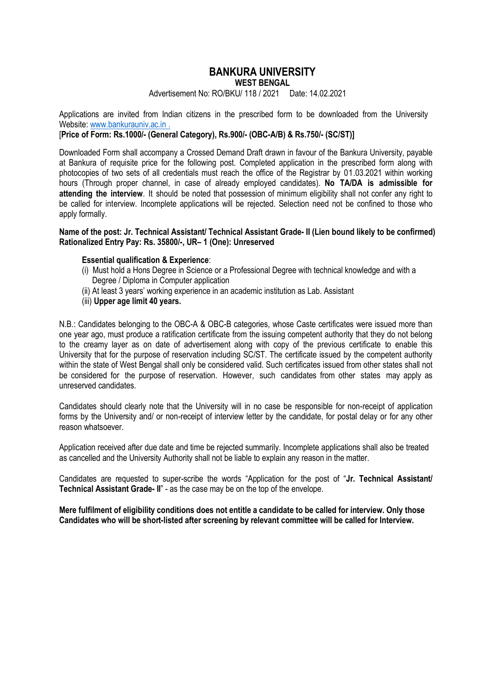# **BANKURA UNIVERSITY**

**WEST BENGAL**

Advertisement No: RO/BKU/ 118 / 2021 Date: 14.02.2021

Applications are invited from Indian citizens in the prescribed form to be downloaded from the University Website: www.bankurauniv.ac.in .

[**Price of Form: Rs.1000/- (General Category), Rs.900/- (OBC-A/B) & Rs.750/- (SC/ST)]**

Downloaded Form shall accompany a Crossed Demand Draft drawn in favour of the Bankura University, payable at Bankura of requisite price for the following post. Completed application in the prescribed form along with photocopies of two sets of all credentials must reach the office of the Registrar by 01.03.2021 within working hours (Through proper channel, in case of already employed candidates). **No TA/DA is admissible for attending the interview**. It should be noted that possession of minimum eligibility shall not confer any right to be called for interview. Incomplete applications will be rejected. Selection need not be confined to those who apply formally.

**Name of the post: Jr. Technical Assistant/ Technical Assistant Grade- II (Lien bound likely to be confirmed) Rationalized Entry Pay: Rs. 35800/-, UR– 1 (One): Unreserved**

#### **Essential qualification & Experience**:

- (i) Must hold a Hons Degree in Science or a Professional Degree with technical knowledge and with a Degree / Diploma in Computer application
- (ii) At least 3 years' working experience in an academic institution as Lab. Assistant
- (iii) **Upper age limit 40 years.**

N.B.: Candidates belonging to the OBC-A & OBC-B categories, whose Caste certificates were issued more than one year ago, must produce a ratification certificate from the issuing competent authority that they do not belong to the creamy layer as on date of advertisement along with copy of the previous certificate to enable this University that for the purpose of reservation including SC/ST. The certificate issued by the competent authority within the state of West Bengal shall only be considered valid. Such certificates issued from other states shall not be considered for the purpose of reservation. However, such candidates from other states may apply as unreserved candidates.

Candidates should clearly note that the University will in no case be responsible for non-receipt of application forms by the University and/ or non-receipt of interview letter by the candidate, for postal delay or for any other reason whatsoever.

Application received after due date and time be rejected summarily. Incomplete applications shall also be treated as cancelled and the University Authority shall not be liable to explain any reason in the matter.

Candidates are requested to super-scribe the words "Application for the post of "**Jr. Technical Assistant/ Technical Assistant Grade- II**" - as the case may be on the top of the envelope.

**Mere fulfilment of eligibility conditions does not entitle a candidate to be called for interview. Only those Candidates who will be short-listed after screening by relevant committee will be called for Interview.**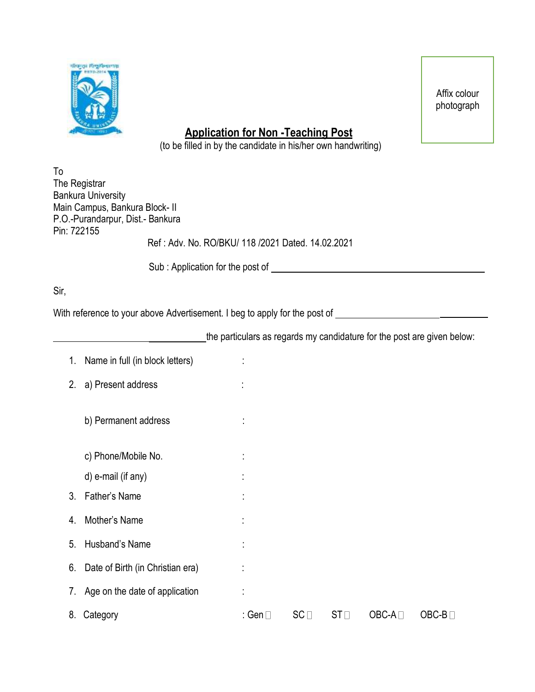

Affix colour photograph

## **Application for Non -Teaching Post**

(to be filled in by the candidate in his/her own handwriting)

| To                                                |
|---------------------------------------------------|
| The Registrar                                     |
| <b>Bankura University</b>                         |
| Main Campus, Bankura Block- II                    |
| P.O.-Purandarpur, Dist.- Bankura                  |
| Pin: 722155                                       |
| Ref: Adv. No. RO/BKU/ 118 /2021 Dated. 14.02.2021 |
|                                                   |

Sub : Application for the post of

Sir,

With reference to your above Advertisement. I beg to apply for the post of

the particulars as regards my candidature for the post are given below:

|    | 1. Name in full (in block letters)  |         |                 |                 |         |         |
|----|-------------------------------------|---------|-----------------|-----------------|---------|---------|
| 2. | a) Present address                  | t       |                 |                 |         |         |
|    | b) Permanent address                | t,      |                 |                 |         |         |
|    | c) Phone/Mobile No.                 | ÷       |                 |                 |         |         |
|    | d) e-mail (if any)                  | ٠       |                 |                 |         |         |
| 3. | Father's Name                       |         |                 |                 |         |         |
| 4. | Mother's Name                       | t       |                 |                 |         |         |
| 5. | Husband's Name                      | ÷       |                 |                 |         |         |
|    | 6. Date of Birth (in Christian era) | ÷       |                 |                 |         |         |
|    | 7. Age on the date of application   |         |                 |                 |         |         |
| 8. | Category                            | : Gen ⊟ | SC <sub>1</sub> | ST <sub>1</sub> | $OBC-A$ | $OBC-B$ |